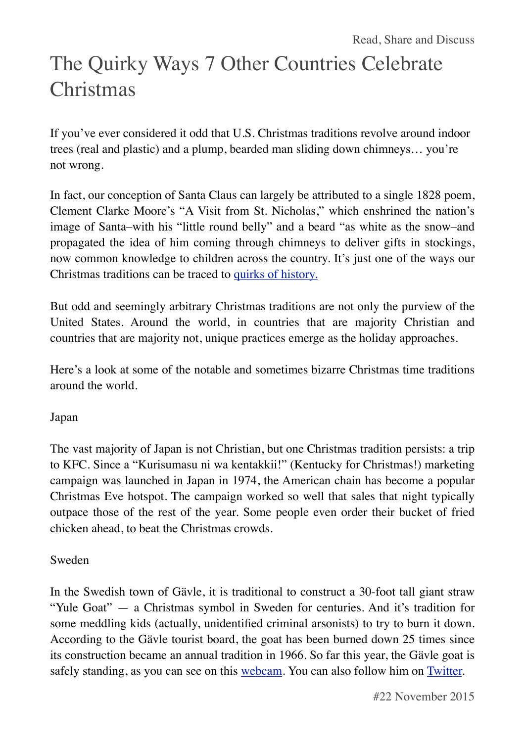# The Quirky Ways 7 Other Countries Celebrate Christmas

If you've ever considered it odd that U.S. Christmas traditions revolve around indoor trees (real and plastic) and a plump, bearded man sliding down chimneys… you're not wrong.

In fact, our conception of Santa Claus can largely be attributed to a single 1828 poem, Clement Clarke Moore's "A Visit from St. Nicholas," which enshrined the nation's image of Santa–with his "little round belly" and a beard "as white as the snow–and propagated the idea of him coming through chimneys to deliver gifts in stockings, now common knowledge to children across the country. It's just one of the ways our Christmas traditions can be traced to [quirks of history.](http://content.time.com/time/world/article/0,8599,2037505,00.html)

But odd and seemingly arbitrary Christmas traditions are not only the purview of the United States. Around the world, in countries that are majority Christian and countries that are majority not, unique practices emerge as the holiday approaches.

Here's a look at some of the notable and sometimes bizarre Christmas time traditions around the world.

### Japan

The vast majority of Japan is not Christian, but one Christmas tradition persists: a trip to KFC. Since a "Kurisumasu ni wa kentakkii!" (Kentucky for Christmas!) marketing campaign was launched in Japan in 1974, the American chain has become a popular Christmas Eve hotspot. The campaign worked so well that sales that night typically outpace those of the rest of the year. Some people even order their bucket of fried chicken ahead, to beat the Christmas crowds.

#### Sweden

In the Swedish town of Gävle, it is traditional to construct a 30-foot tall giant straw "Yule Goat" — a Christmas symbol in Sweden for centuries. And it's tradition for some meddling kids (actually, unidentified criminal arsonists) to try to burn it down. According to the Gävle tourist board, the goat has been burned down 25 times since its construction became an annual tradition in 1966. So far this year, the Gävle goat is safely standing, as you can see on this [webcam](http://www.visitgavle.se/sv/gavlebocken). You can also follow him on [Twitter.](https://twitter.com/gavlebocken)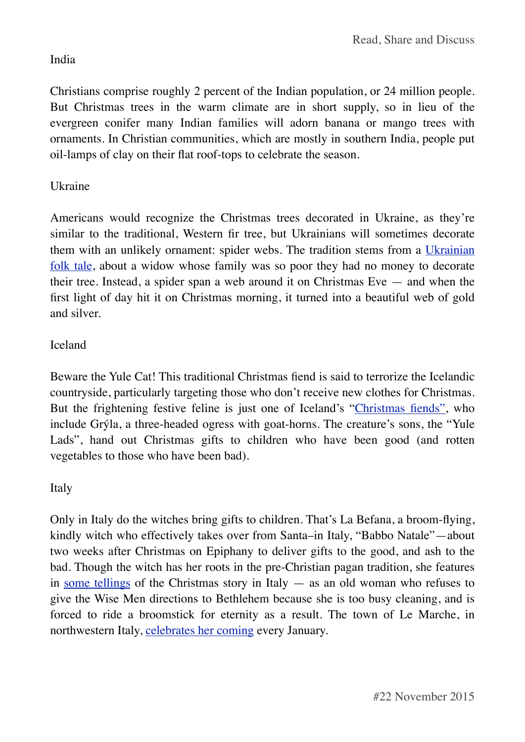# India

Christians comprise roughly 2 percent of the Indian population, or 24 million people. But Christmas trees in the warm climate are in short supply, so in lieu of the evergreen conifer many Indian families will adorn banana or mango trees with ornaments. In Christian communities, which are mostly in southern India, people put oil-lamps of clay on their flat roof-tops to celebrate the season.

# Ukraine

Americans would recognize the Christmas trees decorated in Ukraine, as they're similar to the traditional, Western fir tree, but Ukrainians will sometimes decorate them with an unlikely ornament: spider webs. The tradition stems from a [Ukrainian](https://www.msichicago.org/scrapbook/scrapbook_exhibits/catw2004/traditions/countries/ukraine.html) [folk tale](https://www.msichicago.org/scrapbook/scrapbook_exhibits/catw2004/traditions/countries/ukraine.html), about a widow whose family was so poor they had no money to decorate their tree. Instead, a spider span a web around it on Christmas Eve  $-$  and when the first light of day hit it on Christmas morning, it turned into a beautiful web of gold and silver.

# Iceland

Beware the Yule Cat! This traditional Christmas fiend is said to terrorize the Icelandic countryside, particularly targeting those who don't receive new clothes for Christmas. But the frightening festive feline is just one of Iceland's "[Christmas fiends",](http://www.thjodminjasafn.is/english/for-visitors/christmas/other-christmas-characters/) who include Grýla, a three-headed ogress with goat-horns. The creature's sons, the "Yule Lads", hand out Christmas gifts to children who have been good (and rotten vegetables to those who have been bad).

### Italy

Only in Italy do the witches bring gifts to children. That's La Befana, a broom-flying, kindly witch who effectively takes over from Santa–in Italy, "Babbo Natale"—about two weeks after Christmas on Epiphany to deliver gifts to the good, and ash to the bad. Though the witch has her roots in the pre-Christian pagan tradition, she features in [some tellings](http://www.spiegel.de/international/europe/presents-on-a-broomstick-taking-flight-with-italy-s-holiday-witch-a-596060.html) of the Christmas story in Italy — as an old woman who refuses to give the Wise Men directions to Bethlehem because she is too busy cleaning, and is forced to ride a broomstick for eternity as a result. The town of Le Marche, in northwestern Italy, [celebrates her coming](http://labefana.advmedialab.com/la-storia-della-befana/) every January.